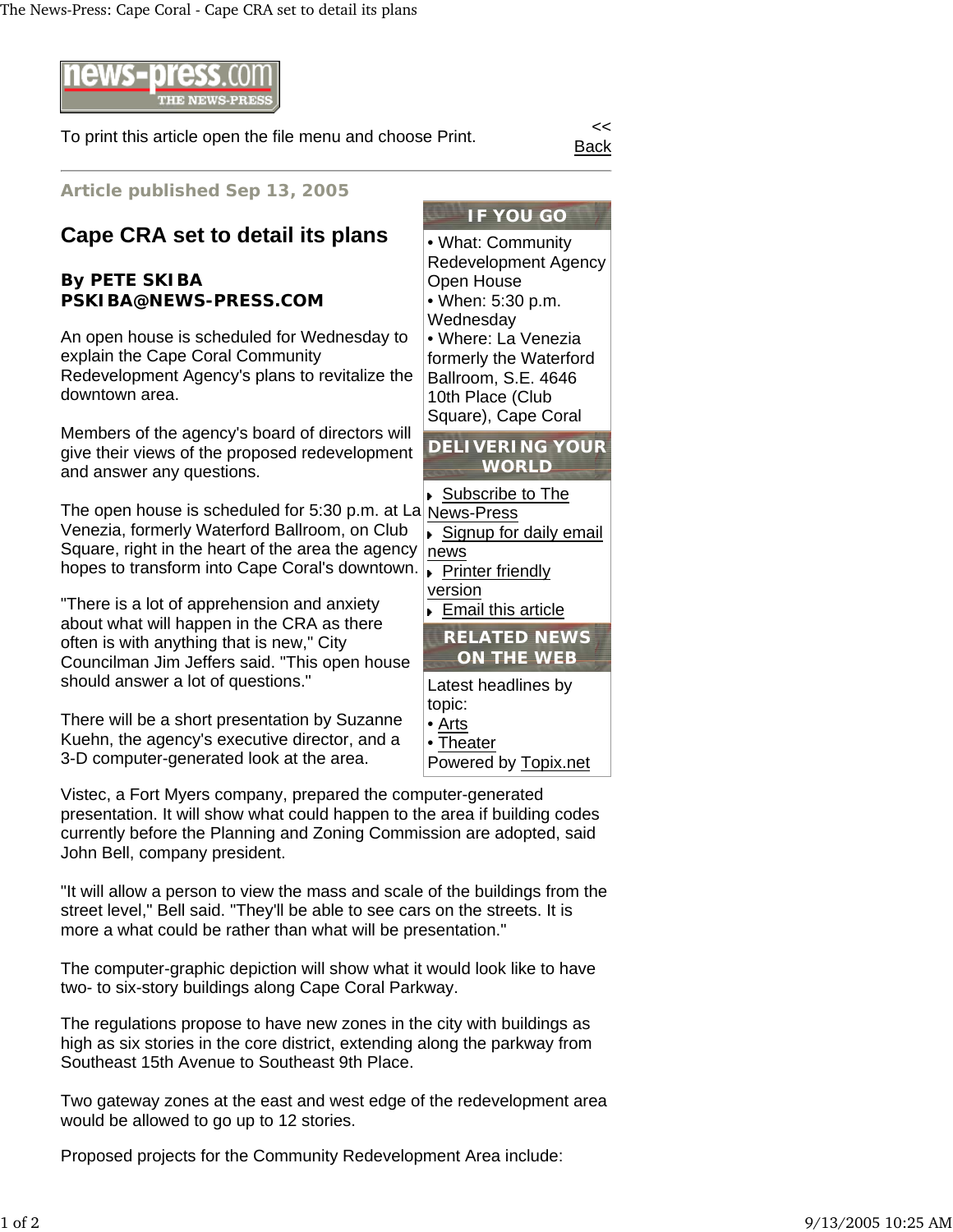

To print this article open the file menu and choose Print.

Back

**Article published Sep 13, 2005**

## **Cape CRA set to detail its plans**

## **By PETE SKIBA PSKIBA@NEWS-PRESS.COM**

An open house is scheduled for Wednesday to explain the Cape Coral Community Redevelopment Agency's plans to revitalize the downtown area.

Members of the agency's board of directors will give their views of the proposed redevelopment and answer any questions.

The open house is scheduled for 5:30 p.m. at La Venezia, formerly Waterford Ballroom, on Club Square, right in the heart of the area the agency hopes to transform into Cape Coral's downtown.

"There is a lot of apprehension and anxiety about what will happen in the CRA as there often is with anything that is new," City Councilman Jim Jeffers said. "This open house should answer a lot of questions."

There will be a short presentation by Suzanne Kuehn, the agency's executive director, and a 3-D computer-generated look at the area.

Vistec, a Fort Myers company, prepared the computer-generated presentation. It will show what could happen to the area if building codes currently before the Planning and Zoning Commission are adopted, said John Bell, company president.

"It will allow a person to view the mass and scale of the buildings from the street level," Bell said. "They'll be able to see cars on the streets. It is more a what could be rather than what will be presentation."

The computer-graphic depiction will show what it would look like to have two- to six-story buildings along Cape Coral Parkway.

The regulations propose to have new zones in the city with buildings as high as six stories in the core district, extending along the parkway from Southeast 15th Avenue to Southeast 9th Place.

Two gateway zones at the east and west edge of the redevelopment area would be allowed to go up to 12 stories.

Proposed projects for the Community Redevelopment Area include:

• What: Community Redevelopment Agency Open House • When: 5:30 p.m. **Wednesday** • Where: La Venezia formerly the Waterford Ballroom, S.E. 4646 10th Place (Club Square), Cape Coral

**DELIVERING YOUR WORLD**

Subscribe to The

- News-Press Signup for daily email news **Printer friendly**
- version ► Email this article



Latest headlines by topic: • Arts • Theater

Powered by Topix.net